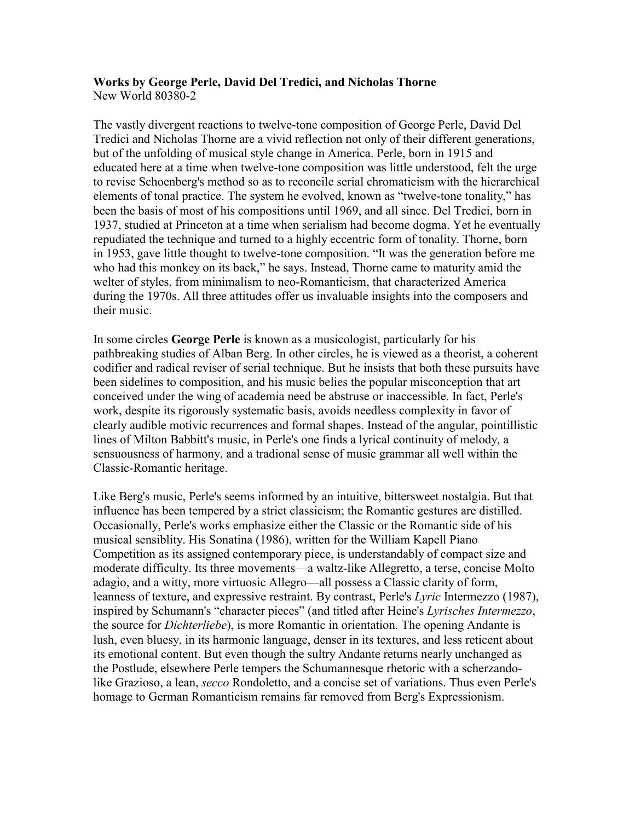#### **Works by George Perle, David Del Tredici, and Nicholas Thorne**  New World 80380-2

The vastly divergent reactions to twelve-tone composition of George Perle, David Del Tredici and Nicholas Thorne are a vivid reflection not only of their different generations, but of the unfolding of musical style change in America. Perle, born in 1915 and educated here at a time when twelve-tone composition was little understood, felt the urge to revise Schoenberg's method so as to reconcile serial chromaticism with the hierarchical elements of tonal practice. The system he evolved, known as "twelve-tone tonality," has been the basis of most of his compositions until 1969, and all since. Del Tredici, born in 1937, studied at Princeton at a time when serialism had become dogma. Yet he eventually repudiated the technique and turned to a highly eccentric form of tonality. Thorne, born in 1953, gave little thought to twelve-tone composition. "It was the generation before me who had this monkey on its back," he says. Instead, Thorne came to maturity amid the welter of styles, from minimalism to neo-Romanticism, that characterized America during the 1970s. All three attitudes offer us invaluable insights into the composers and their music.

In some circles **George Perle** is known as a musicologist, particularly for his pathbreaking studies of Alban Berg. In other circles, he is viewed as a theorist, a coherent codifier and radical reviser of serial technique. But he insists that both these pursuits have been sidelines to composition, and his music belies the popular misconception that art conceived under the wing of academia need be abstruse or inaccessible. In fact, Perle's work, despite its rigorously systematic basis, avoids needless complexity in favor of clearly audible motivic recurrences and formal shapes. Instead of the angular, pointillistic lines of Milton Babbitt's music, in Perle's one finds a lyrical continuity of melody, a sensuousness of harmony, and a tradional sense of music grammar all well within the Classic-Romantic heritage.

Like Berg's music, Perle's seems informed by an intuitive, bittersweet nostalgia. But that influence has been tempered by a strict classicism; the Romantic gestures are distilled. Occasionally, Perle's works emphasize either the Classic or the Romantic side of his musical sensiblity. His Sonatina (1986), written for the William Kapell Piano Competition as its assigned contemporary piece, is understandably of compact size and moderate difficulty. Its three movements—a waltz-like Allegretto, a terse, concise Molto adagio, and a witty, more virtuosic Allegro—all possess a Classic clarity of form, leanness of texture, and expressive restraint. By contrast, Perle's *Lyric* Intermezzo (1987), inspired by Schumann's "character pieces" (and titled after Heine's *Lyrisches Intermezzo*, the source for *Dichterliebe*), is more Romantic in orientation. The opening Andante is lush, even bluesy, in its harmonic language, denser in its textures, and less reticent about its emotional content. But even though the sultry Andante returns nearly unchanged as the Postlude, elsewhere Perle tempers the Schumannesque rhetoric with a scherzandolike Grazioso, a lean, *secco* Rondoletto, and a concise set of variations. Thus even Perle's homage to German Romanticism remains far removed from Berg's Expressionism.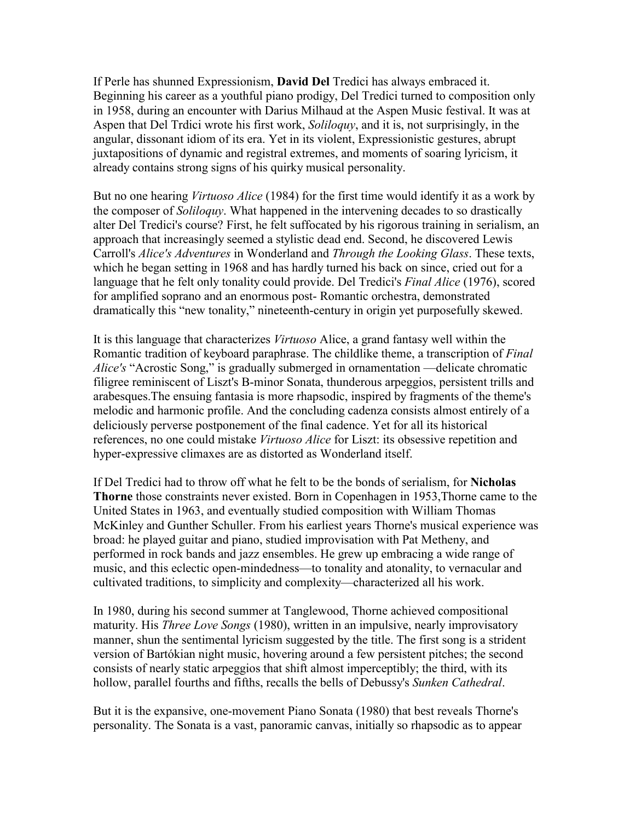If Perle has shunned Expressionism, **David Del** Tredici has always embraced it. Beginning his career as a youthful piano prodigy, Del Tredici turned to composition only in 1958, during an encounter with Darius Milhaud at the Aspen Music festival. It was at Aspen that Del Trdici wrote his first work, *Soliloquy*, and it is, not surprisingly, in the angular, dissonant idiom of its era. Yet in its violent, Expressionistic gestures, abrupt juxtapositions of dynamic and registral extremes, and moments of soaring lyricism, it already contains strong signs of his quirky musical personality.

But no one hearing *Virtuoso Alice* (1984) for the first time would identify it as a work by the composer of *Soliloquy*. What happened in the intervening decades to so drastically alter Del Tredici's course? First, he felt suffocated by his rigorous training in serialism, an approach that increasingly seemed a stylistic dead end. Second, he discovered Lewis Carroll's *Alice's Adventures* in Wonderland and *Through the Looking Glass*. These texts, which he began setting in 1968 and has hardly turned his back on since, cried out for a language that he felt only tonality could provide. Del Tredici's *Final Alice* (1976), scored for amplified soprano and an enormous post- Romantic orchestra, demonstrated dramatically this "new tonality," nineteenth-century in origin yet purposefully skewed.

It is this language that characterizes *Virtuoso* Alice, a grand fantasy well within the Romantic tradition of keyboard paraphrase. The childlike theme, a transcription of *Final Alice's* "Acrostic Song," is gradually submerged in ornamentation —delicate chromatic filigree reminiscent of Liszt's B-minor Sonata, thunderous arpeggios, persistent trills and arabesques.The ensuing fantasia is more rhapsodic, inspired by fragments of the theme's melodic and harmonic profile. And the concluding cadenza consists almost entirely of a deliciously perverse postponement of the final cadence. Yet for all its historical references, no one could mistake *Virtuoso Alice* for Liszt: its obsessive repetition and hyper-expressive climaxes are as distorted as Wonderland itself.

If Del Tredici had to throw off what he felt to be the bonds of serialism, for **Nicholas Thorne** those constraints never existed. Born in Copenhagen in 1953,Thorne came to the United States in 1963, and eventually studied composition with William Thomas McKinley and Gunther Schuller. From his earliest years Thorne's musical experience was broad: he played guitar and piano, studied improvisation with Pat Metheny, and performed in rock bands and jazz ensembles. He grew up embracing a wide range of music, and this eclectic open-mindedness—to tonality and atonality, to vernacular and cultivated traditions, to simplicity and complexity—characterized all his work.

In 1980, during his second summer at Tanglewood, Thorne achieved compositional maturity. His *Three Love Songs* (1980), written in an impulsive, nearly improvisatory manner, shun the sentimental lyricism suggested by the title. The first song is a strident version of Bartókian night music, hovering around a few persistent pitches; the second consists of nearly static arpeggios that shift almost imperceptibly; the third, with its hollow, parallel fourths and fifths, recalls the bells of Debussy's *Sunken Cathedral*.

But it is the expansive, one-movement Piano Sonata (1980) that best reveals Thorne's personality. The Sonata is a vast, panoramic canvas, initially so rhapsodic as to appear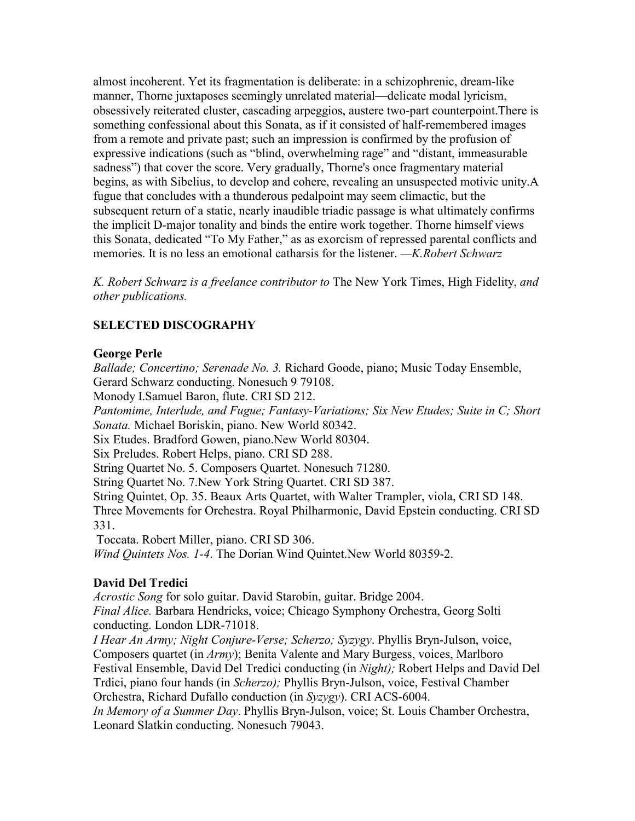almost incoherent. Yet its fragmentation is deliberate: in a schizophrenic, dream-like manner, Thorne juxtaposes seemingly unrelated material—delicate modal lyricism, obsessively reiterated cluster, cascading arpeggios, austere two-part counterpoint.There is something confessional about this Sonata, as if it consisted of half-remembered images from a remote and private past; such an impression is confirmed by the profusion of expressive indications (such as "blind, overwhelming rage" and "distant, immeasurable sadness") that cover the score. Very gradually, Thorne's once fragmentary material begins, as with Sibelius, to develop and cohere, revealing an unsuspected motivic unity.A fugue that concludes with a thunderous pedalpoint may seem climactic, but the subsequent return of a static, nearly inaudible triadic passage is what ultimately confirms the implicit D-major tonality and binds the entire work together. Thorne himself views this Sonata, dedicated "To My Father," as as exorcism of repressed parental conflicts and memories. It is no less an emotional catharsis for the listener. *—K.Robert Schwarz*

*K. Robert Schwarz is a freelance contributor to* The New York Times, High Fidelity, *and other publications.*

# **SELECTED DISCOGRAPHY**

#### **George Perle**

*Ballade; Concertino; Serenade No. 3.* Richard Goode, piano; Music Today Ensemble, Gerard Schwarz conducting. Nonesuch 9 79108.

Monody I.Samuel Baron, flute. CRI SD 212.

*Pantomime, Interlude, and Fugue; Fantasy-Variations; Six New Etudes; Suite in C; Short Sonata.* Michael Boriskin, piano. New World 80342.

Six Etudes. Bradford Gowen, piano.New World 80304.

Six Preludes. Robert Helps, piano. CRI SD 288.

String Quartet No. 5. Composers Quartet. Nonesuch 71280.

String Quartet No. 7.New York String Quartet. CRI SD 387.

String Quintet, Op. 35. Beaux Arts Quartet, with Walter Trampler, viola, CRI SD 148. Three Movements for Orchestra. Royal Philharmonic, David Epstein conducting. CRI SD 331.

Toccata. Robert Miller, piano. CRI SD 306.

*Wind Quintets Nos. 1-4*. The Dorian Wind Quintet.New World 80359-2.

# **David Del Tredici**

*Acrostic Song* for solo guitar. David Starobin, guitar. Bridge 2004. *Final Alice.* Barbara Hendricks, voice; Chicago Symphony Orchestra, Georg Solti conducting. London LDR-71018.

*I Hear An Army; Night Conjure-Verse; Scherzo; Syzygy*. Phyllis Bryn-Julson, voice, Composers quartet (in *Army*); Benita Valente and Mary Burgess, voices, Marlboro Festival Ensemble, David Del Tredici conducting (in *Night);* Robert Helps and David Del Trdici, piano four hands (in *Scherzo);* Phyllis Bryn-Julson, voice, Festival Chamber Orchestra, Richard Dufallo conduction (in *Syzygy*). CRI ACS-6004. *In Memory of a Summer Day*. Phyllis Bryn-Julson, voice; St. Louis Chamber Orchestra, Leonard Slatkin conducting. Nonesuch 79043.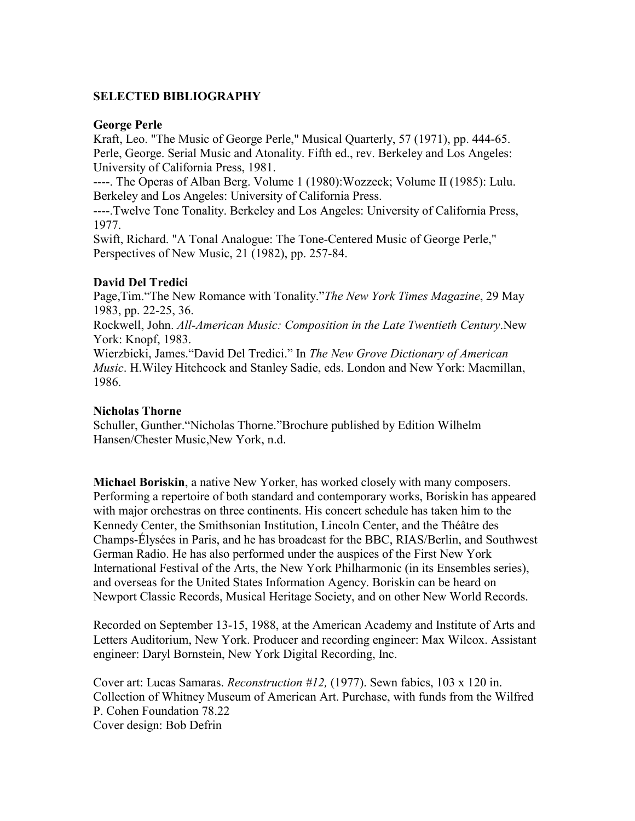# **SELECTED BIBLIOGRAPHY**

#### **George Perle**

Kraft, Leo. "The Music of George Perle," Musical Quarterly, 57 (1971), pp. 444-65. Perle, George. Serial Music and Atonality. Fifth ed., rev. Berkeley and Los Angeles: University of California Press, 1981.

----. The Operas of Alban Berg. Volume 1 (1980):Wozzeck; Volume II (1985): Lulu. Berkeley and Los Angeles: University of California Press.

----.Twelve Tone Tonality. Berkeley and Los Angeles: University of California Press, 1977.

Swift, Richard. "A Tonal Analogue: The Tone-Centered Music of George Perle," Perspectives of New Music, 21 (1982), pp. 257-84.

# **David Del Tredici**

Page,Tim."The New Romance with Tonality."*The New York Times Magazine*, 29 May 1983, pp. 22-25, 36.

Rockwell, John. *All-American Music: Composition in the Late Twentieth Century*.New York: Knopf, 1983.

Wierzbicki, James."David Del Tredici." In *The New Grove Dictionary of American Music*. H.Wiley Hitchcock and Stanley Sadie, eds. London and New York: Macmillan, 1986.

#### **Nicholas Thorne**

Schuller, Gunther."Nicholas Thorne."Brochure published by Edition Wilhelm Hansen/Chester Music,New York, n.d.

**Michael Boriskin**, a native New Yorker, has worked closely with many composers. Performing a repertoire of both standard and contemporary works, Boriskin has appeared with major orchestras on three continents. His concert schedule has taken him to the Kennedy Center, the Smithsonian Institution, Lincoln Center, and the Théâtre des Champs-Élysées in Paris, and he has broadcast for the BBC, RIAS/Berlin, and Southwest German Radio. He has also performed under the auspices of the First New York International Festival of the Arts, the New York Philharmonic (in its Ensembles series), and overseas for the United States Information Agency. Boriskin can be heard on Newport Classic Records, Musical Heritage Society, and on other New World Records.

Recorded on September 13-15, 1988, at the American Academy and Institute of Arts and Letters Auditorium, New York. Producer and recording engineer: Max Wilcox. Assistant engineer: Daryl Bornstein, New York Digital Recording, Inc.

Cover art: Lucas Samaras. *Reconstruction #12,* (1977). Sewn fabics, 103 x 120 in. Collection of Whitney Museum of American Art. Purchase, with funds from the Wilfred P. Cohen Foundation 78.22 Cover design: Bob Defrin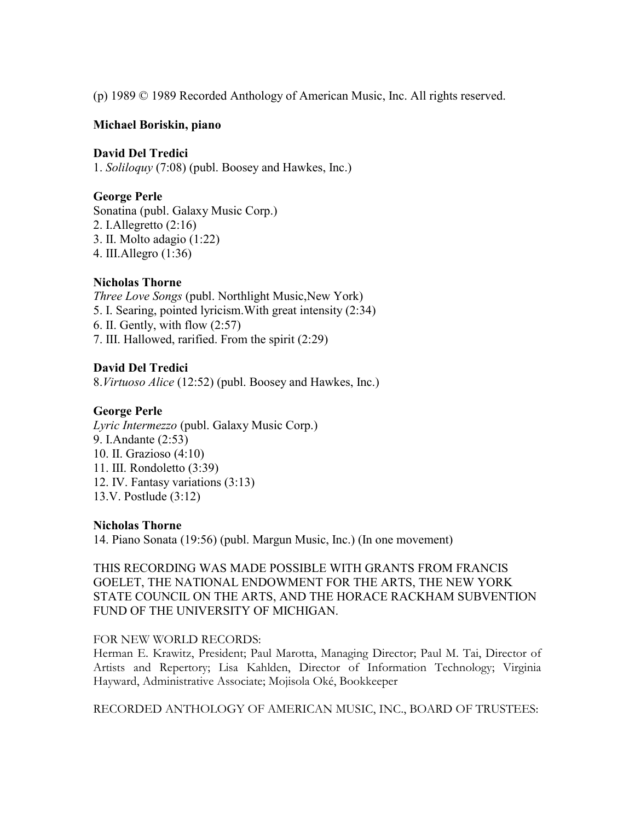(p) 1989 © 1989 Recorded Anthology of American Music, Inc. All rights reserved.

### **Michael Boriskin, piano**

### **David Del Tredici**

1. *Soliloquy* (7:08) (publ. Boosey and Hawkes, Inc.)

# **George Perle**

Sonatina (publ. Galaxy Music Corp.) 2. I.Allegretto (2:16) 3. II. Molto adagio (1:22) 4. III.Allegro (1:36)

# **Nicholas Thorne**

*Three Love Songs* (publ. Northlight Music,New York) 5. I. Searing, pointed lyricism.With great intensity (2:34) 6. II. Gently, with flow (2:57) 7. III. Hallowed, rarified. From the spirit (2:29)

# **David Del Tredici**

8.*Virtuoso Alice* (12:52) (publ. Boosey and Hawkes, Inc.)

### **George Perle**

*Lyric Intermezzo* (publ. Galaxy Music Corp.) 9. I.Andante (2:53) 10. II. Grazioso (4:10) 11. III. Rondoletto (3:39) 12. IV. Fantasy variations (3:13) 13.V. Postlude (3:12)

#### **Nicholas Thorne**

14. Piano Sonata (19:56) (publ. Margun Music, Inc.) (In one movement)

# THIS RECORDING WAS MADE POSSIBLE WITH GRANTS FROM FRANCIS GOELET, THE NATIONAL ENDOWMENT FOR THE ARTS, THE NEW YORK STATE COUNCIL ON THE ARTS, AND THE HORACE RACKHAM SUBVENTION FUND OF THE UNIVERSITY OF MICHIGAN.

#### FOR NEW WORLD RECORDS:

Herman E. Krawitz, President; Paul Marotta, Managing Director; Paul M. Tai, Director of Artists and Repertory; Lisa Kahlden, Director of Information Technology; Virginia Hayward, Administrative Associate; Mojisola Oké, Bookkeeper

RECORDED ANTHOLOGY OF AMERICAN MUSIC, INC., BOARD OF TRUSTEES: